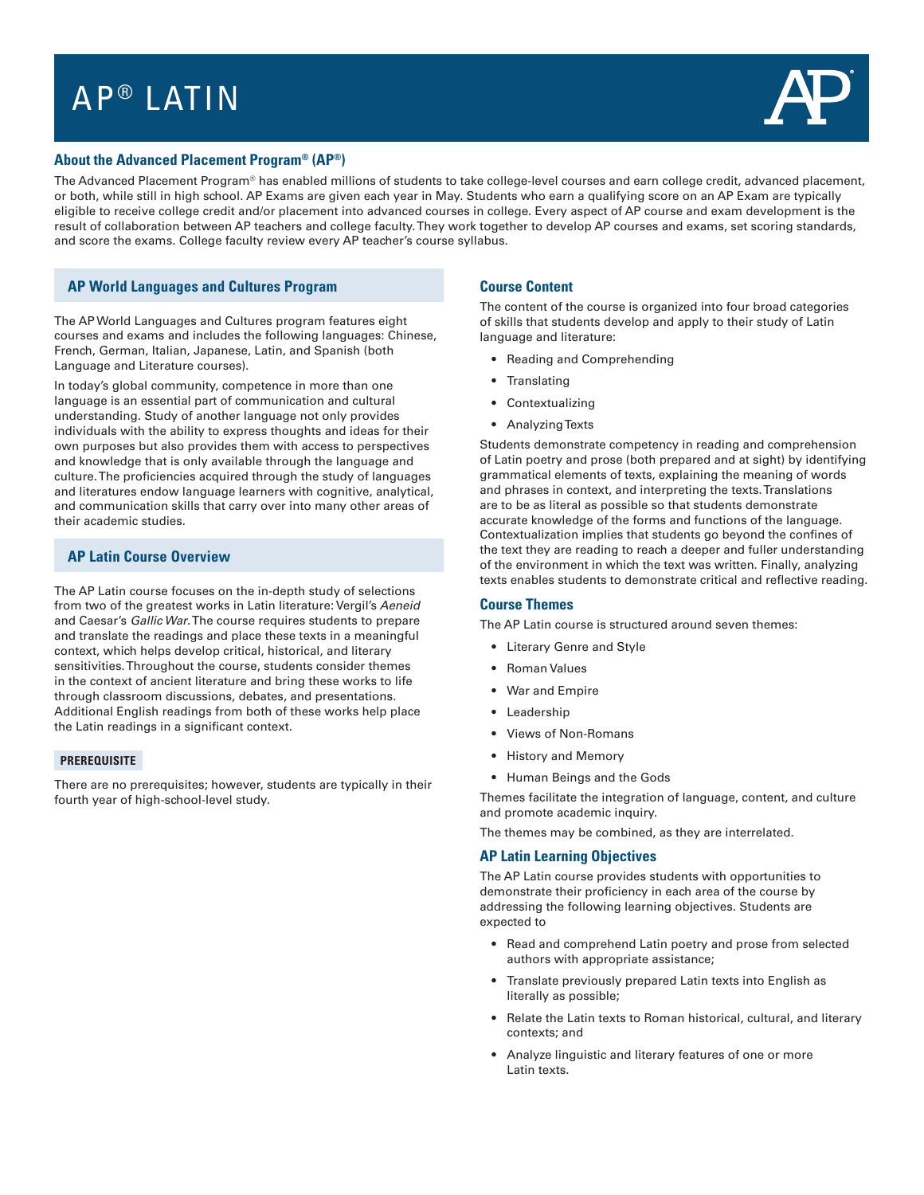# AP<sup>®</sup> LATIN



## **About the Advanced Placement Program® (AP®)**

The Advanced Placement Program® has enabled millions of students to take college-level courses and earn college credit, advanced placement, or both, while still in high school. AP Exams are given each year in May. Students who earn a qualifying score on an AP Exam are typically eligible to receive college credit and/or placement into advanced courses in college. Every aspect of AP course and exam development is the result of collaboration between AP teachers and college faculty. They work together to develop AP courses and exams, set scoring standards, and score the exams. College faculty review every AP teacher's course syllabus.

## **AP World Languages and Cultures Program**

The AP World Languages and Cultures program features eight courses and exams and includes the following languages: Chinese, French, German, Italian, Japanese, Latin, and Spanish (both Language and Literature courses).

In today's global community, competence in more than one language is an essential part of communication and cultural understanding. Study of another language not only provides individuals with the ability to express thoughts and ideas for their own purposes but also provides them with access to perspectives and knowledge that is only available through the language and culture. The proficiencies acquired through the study of languages and literatures endow language learners with cognitive, analytical, and communication skills that carry over into many other areas of their academic studies.

## **AP Latin Course Overview**

The AP Latin course focuses on the in-depth study of selections from two of the greatest works in Latin literature: Vergil's Aeneid and Caesar's Gallic War. The course requires students to prepare and translate the readings and place these texts in a meaningful context, which helps develop critical, historical, and literary sensitivities. Throughout the course, students consider themes in the context of ancient literature and bring these works to life through classroom discussions, debates, and presentations. Additional English readings from both of these works help place the Latin readings in a significant context.

#### **PREREQUISITE**

There are no prerequisites; however, students are typically in their fourth year of high-school-level study.

#### **Course Content**

The content of the course is organized into four broad categories of skills that students develop and apply to their study of Latin language and literature:

- Reading and Comprehending
- **Translating**
- **Contextualizing**
- Analyzing Texts

Students demonstrate competency in reading and comprehension of Latin poetry and prose (both prepared and at sight) by identifying grammatical elements of texts, explaining the meaning of words and phrases in context, and interpreting the texts. Translations are to be as literal as possible so that students demonstrate accurate knowledge of the forms and functions of the language. Contextualization implies that students go beyond the confines of the text they are reading to reach a deeper and fuller understanding of the environment in which the text was written. Finally, analyzing texts enables students to demonstrate critical and reflective reading.

#### **Course Themes**

The AP Latin course is structured around seven themes:

- Literary Genre and Style
- Roman Values
- War and Empire
- Leadership
- Views of Non-Romans
- History and Memory
- Human Beings and the Gods

Themes facilitate the integration of language, content, and culture and promote academic inquiry.

The themes may be combined, as they are interrelated.

#### **AP Latin Learning Objectives**

The AP Latin course provides students with opportunities to demonstrate their proficiency in each area of the course by addressing the following learning objectives. Students are expected to

- Read and comprehend Latin poetry and prose from selected authors with appropriate assistance;
- Translate previously prepared Latin texts into English as literally as possible;
- Relate the Latin texts to Roman historical, cultural, and literary contexts; and
- Analyze linguistic and literary features of one or more Latin texts.